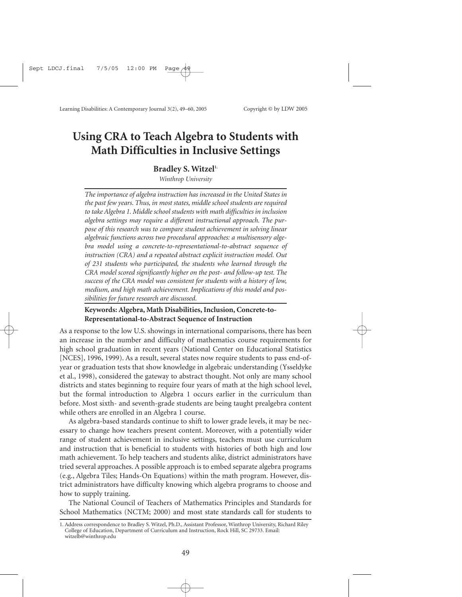# **Using CRA to Teach Algebra to Students with Math Difficulties in Inclusive Settings**

#### Bradley S. Witzel<sup>1.</sup>

*Winthrop University*

*The importance of algebra instruction has increased in the United States in the past few years. Thus, in most states, middle school students are required to take Algebra 1. Middle school students with math difficulties in inclusion algebra settings may require a different instructional approach. The purpose of this research was to compare student achievement in solving linear algebraic functions across two procedural approaches: a multisensory algebra model using a concrete-to-representational-to-abstract sequence of instruction (CRA) and a repeated abstract explicit instruction model. Out of 231 students who participated, the students who learned through the CRA model scored significantly higher on the post- and follow-up test. The success of the CRA model was consistent for students with a history of low, medium, and high math achievement. Implications of this model and possibilities for future research are discussed.*

#### **Keywords: Algebra, Math Disabilities, Inclusion, Concrete-to-Representational-to-Abstract Sequence of Instruction**

As a response to the low U.S. showings in international comparisons, there has been an increase in the number and difficulty of mathematics course requirements for high school graduation in recent years (National Center on Educational Statistics [NCES], 1996, 1999). As a result, several states now require students to pass end-ofyear or graduation tests that show knowledge in algebraic understanding (Ysseldyke et al., 1998), considered the gateway to abstract thought. Not only are many school districts and states beginning to require four years of math at the high school level, but the formal introduction to Algebra 1 occurs earlier in the curriculum than before. Most sixth- and seventh-grade students are being taught prealgebra content while others are enrolled in an Algebra 1 course.

As algebra-based standards continue to shift to lower grade levels, it may be necessary to change how teachers present content. Moreover, with a potentially wider range of student achievement in inclusive settings, teachers must use curriculum and instruction that is beneficial to students with histories of both high and low math achievement. To help teachers and students alike, district administrators have tried several approaches. A possible approach is to embed separate algebra programs (e.g., Algebra Tiles; Hands-On Equations) within the math program. However, district administrators have difficulty knowing which algebra programs to choose and how to supply training.

The National Council of Teachers of Mathematics Principles and Standards for School Mathematics (NCTM; 2000) and most state standards call for students to

<sup>1.</sup> Address correspondence to Bradley S. Witzel, Ph.D., Assistant Professor, Winthrop University, Richard Riley College of Education, Department of Curriculum and Instruction, Rock Hill, SC 29733. Email: witzelb@winthrop.edu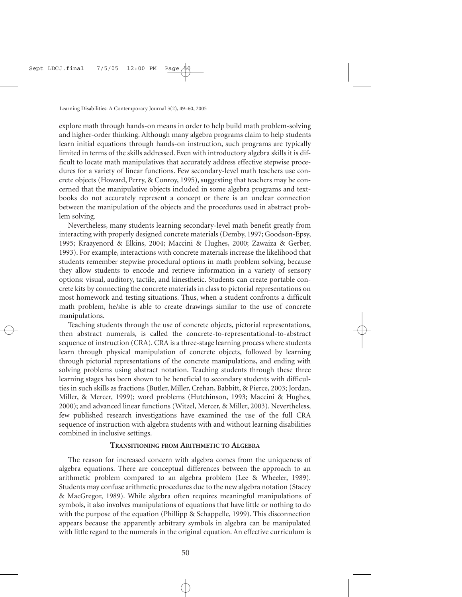explore math through hands-on means in order to help build math problem-solving and higher-order thinking. Although many algebra programs claim to help students learn initial equations through hands-on instruction, such programs are typically limited in terms of the skills addressed. Even with introductory algebra skills it is difficult to locate math manipulatives that accurately address effective stepwise procedures for a variety of linear functions. Few secondary-level math teachers use concrete objects (Howard, Perry, & Conroy, 1995), suggesting that teachers may be concerned that the manipulative objects included in some algebra programs and textbooks do not accurately represent a concept or there is an unclear connection between the manipulation of the objects and the procedures used in abstract problem solving.

Nevertheless, many students learning secondary-level math benefit greatly from interacting with properly designed concrete materials (Demby, 1997; Goodson-Epsy, 1995; Kraayenord & Elkins, 2004; Maccini & Hughes, 2000; Zawaiza & Gerber, 1993). For example, interactions with concrete materials increase the likelihood that students remember stepwise procedural options in math problem solving, because they allow students to encode and retrieve information in a variety of sensory options: visual, auditory, tactile, and kinesthetic. Students can create portable concrete kits by connecting the concrete materials in class to pictorial representations on most homework and testing situations. Thus, when a student confronts a difficult math problem, he/she is able to create drawings similar to the use of concrete manipulations.

Teaching students through the use of concrete objects, pictorial representations, then abstract numerals, is called the concrete-to-representational-to-abstract sequence of instruction (CRA). CRA is a three-stage learning process where students learn through physical manipulation of concrete objects, followed by learning through pictorial representations of the concrete manipulations, and ending with solving problems using abstract notation. Teaching students through these three learning stages has been shown to be beneficial to secondary students with difficulties in such skills as fractions (Butler, Miller, Crehan, Babbitt, & Pierce, 2003; Jordan, Miller, & Mercer, 1999); word problems (Hutchinson, 1993; Maccini & Hughes, 2000); and advanced linear functions (Witzel, Mercer, & Miller, 2003). Nevertheless, few published research investigations have examined the use of the full CRA sequence of instruction with algebra students with and without learning disabilities combined in inclusive settings.

#### **TRANSITIONING FROM ARITHMETIC TO ALGEBRA**

The reason for increased concern with algebra comes from the uniqueness of algebra equations. There are conceptual differences between the approach to an arithmetic problem compared to an algebra problem (Lee & Wheeler, 1989). Students may confuse arithmetic procedures due to the new algebra notation (Stacey & MacGregor, 1989). While algebra often requires meaningful manipulations of symbols, it also involves manipulations of equations that have little or nothing to do with the purpose of the equation (Phillipp & Schappelle, 1999). This disconnection appears because the apparently arbitrary symbols in algebra can be manipulated with little regard to the numerals in the original equation. An effective curriculum is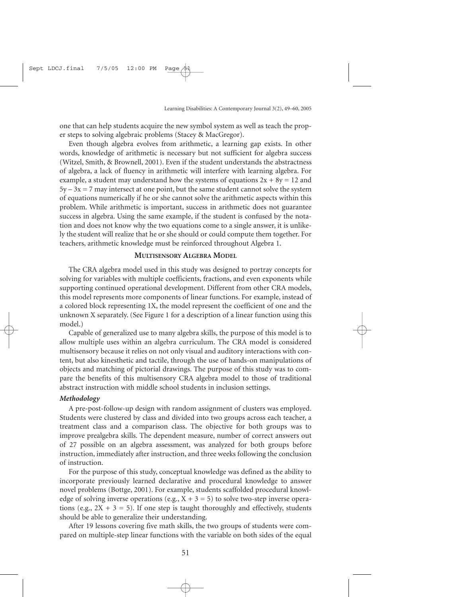one that can help students acquire the new symbol system as well as teach the proper steps to solving algebraic problems (Stacey & MacGregor).

Even though algebra evolves from arithmetic, a learning gap exists. In other words, knowledge of arithmetic is necessary but not sufficient for algebra success (Witzel, Smith, & Brownell, 2001). Even if the student understands the abstractness of algebra, a lack of fluency in arithmetic will interfere with learning algebra. For example, a student may understand how the systems of equations  $2x + 8y = 12$  and  $5y - 3x = 7$  may intersect at one point, but the same student cannot solve the system of equations numerically if he or she cannot solve the arithmetic aspects within this problem. While arithmetic is important, success in arithmetic does not guarantee success in algebra. Using the same example, if the student is confused by the notation and does not know why the two equations come to a single answer, it is unlikely the student will realize that he or she should or could compute them together. For teachers, arithmetic knowledge must be reinforced throughout Algebra 1.

#### **MULTISENSORY ALGEBRA MODEL**

The CRA algebra model used in this study was designed to portray concepts for solving for variables with multiple coefficients, fractions, and even exponents while supporting continued operational development. Different from other CRA models, this model represents more components of linear functions. For example, instead of a colored block representing 1X, the model represent the coefficient of one and the unknown X separately. (See Figure 1 for a description of a linear function using this model.)

Capable of generalized use to many algebra skills, the purpose of this model is to allow multiple uses within an algebra curriculum. The CRA model is considered multisensory because it relies on not only visual and auditory interactions with content, but also kinesthetic and tactile, through the use of hands-on manipulations of objects and matching of pictorial drawings. The purpose of this study was to compare the benefits of this multisensory CRA algebra model to those of traditional abstract instruction with middle school students in inclusion settings.

#### *Methodology*

A pre-post-follow-up design with random assignment of clusters was employed. Students were clustered by class and divided into two groups across each teacher, a treatment class and a comparison class. The objective for both groups was to improve prealgebra skills. The dependent measure, number of correct answers out of 27 possible on an algebra assessment, was analyzed for both groups before instruction, immediately after instruction, and three weeks following the conclusion of instruction.

For the purpose of this study, conceptual knowledge was defined as the ability to incorporate previously learned declarative and procedural knowledge to answer novel problems (Bottge, 2001). For example, students scaffolded procedural knowledge of solving inverse operations (e.g.,  $X + 3 = 5$ ) to solve two-step inverse operations (e.g.,  $2X + 3 = 5$ ). If one step is taught thoroughly and effectively, students should be able to generalize their understanding.

After 19 lessons covering five math skills, the two groups of students were compared on multiple-step linear functions with the variable on both sides of the equal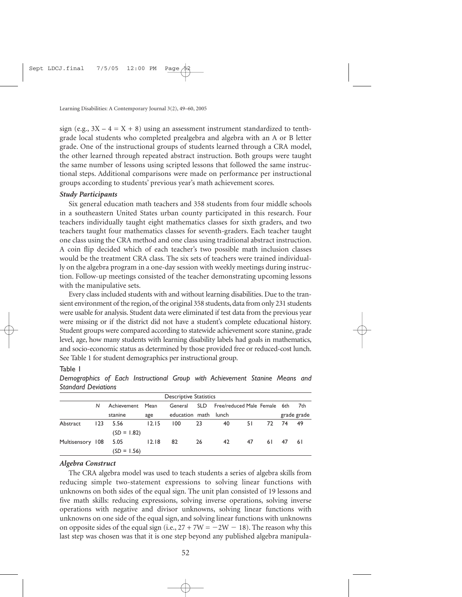sign (e.g.,  $3X - 4 = X + 8$ ) using an assessment instrument standardized to tenthgrade local students who completed prealgebra and algebra with an A or B letter grade. One of the instructional groups of students learned through a CRA model, the other learned through repeated abstract instruction. Both groups were taught the same number of lessons using scripted lessons that followed the same instructional steps. Additional comparisons were made on performance per instructional groups according to students' previous year's math achievement scores.

#### *Study Participants*

Six general education math teachers and 358 students from four middle schools in a southeastern United States urban county participated in this research. Four teachers individually taught eight mathematics classes for sixth graders, and two teachers taught four mathematics classes for seventh-graders. Each teacher taught one class using the CRA method and one class using traditional abstract instruction. A coin flip decided which of each teacher's two possible math inclusion classes would be the treatment CRA class. The six sets of teachers were trained individually on the algebra program in a one-day session with weekly meetings during instruction. Follow-up meetings consisted of the teacher demonstrating upcoming lessons with the manipulative sets.

Every class included students with and without learning disabilities. Due to the transient environment of the region, of the original 358 students, data from only 231 students were usable for analysis. Student data were eliminated if test data from the previous year were missing or if the district did not have a student's complete educational history. Student groups were compared according to statewide achievement score stanine, grade level, age, how many students with learning disability labels had goals in mathematics, and socio-economic status as determined by those provided free or reduced-cost lunch. See Table 1 for student demographics per instructional group.

#### Table 1

| <b>Descriptive Statistics</b> |     |                  |       |                      |            |                              |    |       |          |             |
|-------------------------------|-----|------------------|-------|----------------------|------------|------------------------------|----|-------|----------|-------------|
|                               | N   | Achievement Mean |       | General              | <b>SLD</b> | Free/reduced Male Female 6th |    |       |          | 7th         |
|                               |     | stanine          | age   | education math lunch |            |                              |    |       |          | grade grade |
| Abstract                      | 123 | 5.56             | 12.15 | 100                  | 23         | 40                           | 51 | 72 74 |          | - 49        |
|                               |     | $(SD = 1.82)$    |       |                      |            |                              |    |       |          |             |
| Multisensory 108              |     | 5.05             | 12.18 | 82                   | 26         | 42                           | 47 |       | 61 47 61 |             |
|                               |     | $(SD = 1.56)$    |       |                      |            |                              |    |       |          |             |

*Demographics of Each Instructional Group with Achievement Stanine Means and Standard Deviations*

#### *Algebra Construct*

The CRA algebra model was used to teach students a series of algebra skills from reducing simple two-statement expressions to solving linear functions with unknowns on both sides of the equal sign. The unit plan consisted of 19 lessons and five math skills: reducing expressions, solving inverse operations, solving inverse operations with negative and divisor unknowns, solving linear functions with unknowns on one side of the equal sign, and solving linear functions with unknowns on opposite sides of the equal sign (i.e.,  $27 + 7W = -2W - 18$ ). The reason why this last step was chosen was that it is one step beyond any published algebra manipula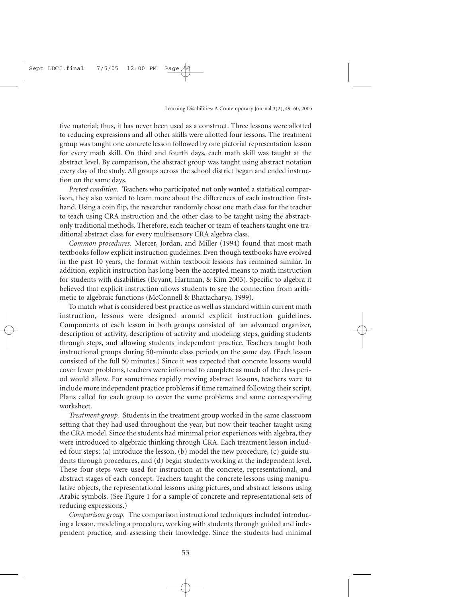tive material; thus, it has never been used as a construct. Three lessons were allotted to reducing expressions and all other skills were allotted four lessons. The treatment group was taught one concrete lesson followed by one pictorial representation lesson for every math skill. On third and fourth days, each math skill was taught at the abstract level. By comparison, the abstract group was taught using abstract notation every day of the study. All groups across the school district began and ended instruction on the same days.

*Pretest condition.* Teachers who participated not only wanted a statistical comparison, they also wanted to learn more about the differences of each instruction firsthand. Using a coin flip, the researcher randomly chose one math class for the teacher to teach using CRA instruction and the other class to be taught using the abstractonly traditional methods. Therefore, each teacher or team of teachers taught one traditional abstract class for every multisensory CRA algebra class.

*Common procedures.* Mercer, Jordan, and Miller (1994) found that most math textbooks follow explicit instruction guidelines. Even though textbooks have evolved in the past 10 years, the format within textbook lessons has remained similar. In addition, explicit instruction has long been the accepted means to math instruction for students with disabilities (Bryant, Hartman, & Kim 2003). Specific to algebra it believed that explicit instruction allows students to see the connection from arithmetic to algebraic functions (McConnell & Bhattacharya, 1999).

To match what is considered best practice as well as standard within current math instruction, lessons were designed around explicit instruction guidelines. Components of each lesson in both groups consisted of an advanced organizer, description of activity, description of activity and modeling steps, guiding students through steps, and allowing students independent practice. Teachers taught both instructional groups during 50-minute class periods on the same day. (Each lesson consisted of the full 50 minutes.) Since it was expected that concrete lessons would cover fewer problems, teachers were informed to complete as much of the class period would allow. For sometimes rapidly moving abstract lessons, teachers were to include more independent practice problems if time remained following their script. Plans called for each group to cover the same problems and same corresponding worksheet.

*Treatment group.* Students in the treatment group worked in the same classroom setting that they had used throughout the year, but now their teacher taught using the CRA model. Since the students had minimal prior experiences with algebra, they were introduced to algebraic thinking through CRA. Each treatment lesson included four steps: (a) introduce the lesson, (b) model the new procedure, (c) guide students through procedures, and (d) begin students working at the independent level. These four steps were used for instruction at the concrete, representational, and abstract stages of each concept. Teachers taught the concrete lessons using manipulative objects, the representational lessons using pictures, and abstract lessons using Arabic symbols. (See Figure 1 for a sample of concrete and representational sets of reducing expressions.)

*Comparison group.* The comparison instructional techniques included introducing a lesson, modeling a procedure, working with students through guided and independent practice, and assessing their knowledge. Since the students had minimal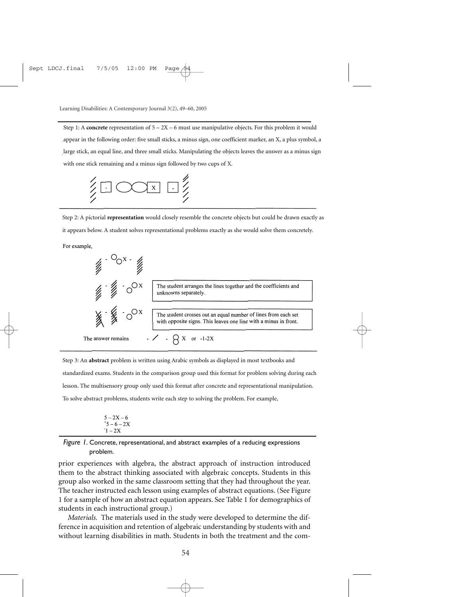Step 1: A **concrete** representation of 5 – 2X – 6 must use manipulative objects. For this problem it would appear in the following order: five small sticks, a minus sign, one coefficient marker, an X, a plus symbol, a large stick, an equal line, and three small sticks. Manipulating the objects leaves the answer as a minus sign with one stick remaining and a minus sign followed by two cups of X.



Step 2: A pictorial **representation** would closely resemble the concrete objects but could be drawn exactly as it appears below. A student solves representational problems exactly as she would solve them concretely.

For example,



Step 3: An **abstract** problem is written using Arabic symbols as displayed in most textbooks and standardized exams. Students in the comparison group used this format for problem solving during each lesson. The multisensory group only used this format after concrete and representational manipulation. To solve abstract problems, students write each step to solving the problem. For example,

$$
\begin{array}{c}5-2X-6\\{}^+5-6-2X\\{}^-1-2X\end{array}
$$

*Figure 1.* Concrete, representational, and abstract examples of a reducing expressions problem.

prior experiences with algebra, the abstract approach of instruction introduced them to the abstract thinking associated with algebraic concepts. Students in this group also worked in the same classroom setting that they had throughout the year. The teacher instructed each lesson using examples of abstract equations. (See Figure 1 for a sample of how an abstract equation appears. See Table 1 for demographics of students in each instructional group.)

*Materials.* The materials used in the study were developed to determine the difference in acquisition and retention of algebraic understanding by students with and without learning disabilities in math. Students in both the treatment and the com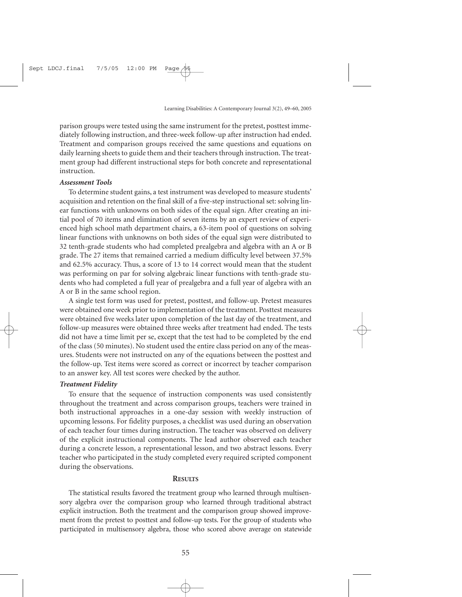parison groups were tested using the same instrument for the pretest, posttest immediately following instruction, and three-week follow-up after instruction had ended. Treatment and comparison groups received the same questions and equations on daily learning sheets to guide them and their teachers through instruction. The treatment group had different instructional steps for both concrete and representational instruction.

#### *Assessment Tools*

To determine student gains, a test instrument was developed to measure students' acquisition and retention on the final skill of a five-step instructional set: solving linear functions with unknowns on both sides of the equal sign. After creating an initial pool of 70 items and elimination of seven items by an expert review of experienced high school math department chairs, a 63-item pool of questions on solving linear functions with unknowns on both sides of the equal sign were distributed to 32 tenth-grade students who had completed prealgebra and algebra with an A or B grade. The 27 items that remained carried a medium difficulty level between 37.5% and 62.5% accuracy. Thus, a score of 13 to 14 correct would mean that the student was performing on par for solving algebraic linear functions with tenth-grade students who had completed a full year of prealgebra and a full year of algebra with an A or B in the same school region.

A single test form was used for pretest, posttest, and follow-up. Pretest measures were obtained one week prior to implementation of the treatment. Posttest measures were obtained five weeks later upon completion of the last day of the treatment, and follow-up measures were obtained three weeks after treatment had ended. The tests did not have a time limit per se, except that the test had to be completed by the end of the class (50 minutes). No student used the entire class period on any of the measures. Students were not instructed on any of the equations between the posttest and the follow-up. Test items were scored as correct or incorrect by teacher comparison to an answer key. All test scores were checked by the author.

#### *Treatment Fidelity*

To ensure that the sequence of instruction components was used consistently throughout the treatment and across comparison groups, teachers were trained in both instructional approaches in a one-day session with weekly instruction of upcoming lessons. For fidelity purposes, a checklist was used during an observation of each teacher four times during instruction. The teacher was observed on delivery of the explicit instructional components. The lead author observed each teacher during a concrete lesson, a representational lesson, and two abstract lessons. Every teacher who participated in the study completed every required scripted component during the observations.

#### **RESULTS**

The statistical results favored the treatment group who learned through multisensory algebra over the comparison group who learned through traditional abstract explicit instruction. Both the treatment and the comparison group showed improvement from the pretest to posttest and follow-up tests. For the group of students who participated in multisensory algebra, those who scored above average on statewide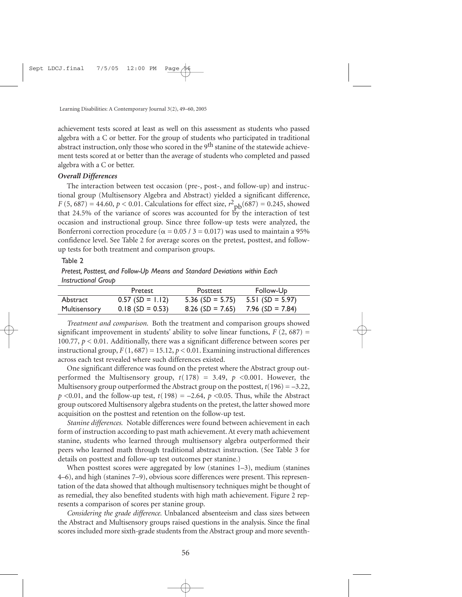achievement tests scored at least as well on this assessment as students who passed algebra with a C or better. For the group of students who participated in traditional abstract instruction, only those who scored in the 9<sup>th</sup> stanine of the statewide achievement tests scored at or better than the average of students who completed and passed algebra with a C or better.

#### *Overall Differences*

The interaction between test occasion (pre-, post-, and follow-up) and instructional group (Multisensory Algebra and Abstract) yielded a significant difference, *F* (5, 687) = 44.60, *p* < 0.01. Calculations for effect size,  $r^2$ <sub>pb</sub>(687) = 0.245, showed that 24.5% of the variance of scores was accounted for by the interaction of test occasion and instructional group. Since three follow-up tests were analyzed, the Bonferroni correction procedure ( $\alpha$  = 0.05 / 3 = 0.017) was used to maintain a 95% confidence level. See Table 2 for average scores on the pretest, posttest, and followup tests for both treatment and comparison groups.

#### Table 2

*Pretest, Posttest, and Follow-Up Means and Standard Deviations within Each Instructional Group*

|                     | Pretest            | Posttest                            | Follow-Up         |
|---------------------|--------------------|-------------------------------------|-------------------|
| Abstract            | $0.57$ (SD = 1.12) | $5.36$ (SD = 5.75)                  | $5.51(SD = 5.97)$ |
| <b>Multisensory</b> | $0.18$ (SD = 0.53) | $8.26$ (SD = 7.65) 7.96 (SD = 7.84) |                   |

*Treatment and comparison.* Both the treatment and comparison groups showed significant improvement in students' ability to solve linear functions,  $F(2, 687) =$ 100.77,  $p < 0.01$ . Additionally, there was a significant difference between scores per instructional group,  $F(1, 687) = 15.12$ ,  $p < 0.01$ . Examining instructional differences across each test revealed where such differences existed.

One significant difference was found on the pretest where the Abstract group outperformed the Multisensory group,  $t(178) = 3.49$ ,  $p \le 0.001$ . However, the Multisensory group outperformed the Abstract group on the posttest,  $t(196) = -3.22$ ,  $p \le 0.01$ , and the follow-up test,  $t(198) = -2.64$ ,  $p \le 0.05$ . Thus, while the Abstract group outscored Multisensory algebra students on the pretest, the latter showed more acquisition on the posttest and retention on the follow-up test.

*Stanine differences.* Notable differences were found between achievement in each form of instruction according to past math achievement. At every math achievement stanine, students who learned through multisensory algebra outperformed their peers who learned math through traditional abstract instruction. (See Table 3 for details on posttest and follow-up test outcomes per stanine.)

When posttest scores were aggregated by low (stanines 1–3), medium (stanines 4–6), and high (stanines 7–9), obvious score differences were present. This representation of the data showed that although multisensory techniques might be thought of as remedial, they also benefited students with high math achievement. Figure 2 represents a comparison of scores per stanine group.

*Considering the grade difference.* Unbalanced absenteeism and class sizes between the Abstract and Multisensory groups raised questions in the analysis. Since the final scores included more sixth-grade students from the Abstract group and more seventh-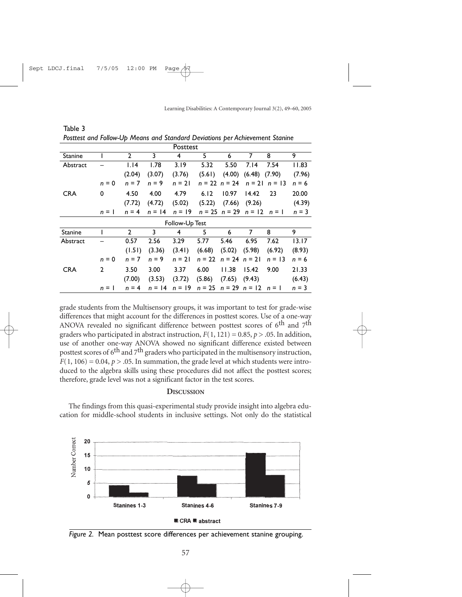| Posttest       |              |                |          |          |          |                   |                |                   |         |
|----------------|--------------|----------------|----------|----------|----------|-------------------|----------------|-------------------|---------|
| Stanine        |              | 2              | 3        | 4        | 5        | 6                 | 7              | 8                 | 9       |
| Abstract       |              | 1.14           | 1.78     | 3.19     | 5.32     | 5.50              | 7.14           | 7.54              | 11.83   |
|                |              | (2.04)         | (3.07)   | (3.76)   | (5.61)   | (4.00)            | (6.48)         | (7.90)            | (7.96)  |
|                | $n = 0$      | $n = 7$        | $n = 9$  | $n = 21$ |          | $n = 22$ $n = 24$ |                | $n = 21$ $n = 13$ | $n = 6$ |
| <b>CRA</b>     | 0            | 4.50           | 4.00     | 4.79     | 6.12     | 10.97             | 14.42          | 23                | 20.00   |
|                |              | (7.72)         | (4.72)   | (5.02)   | (5.22)   | (7.66)            | (9.26)         |                   | (4.39)  |
|                | $n = 1$      | $n = 4$        | $n = 14$ | $n = 19$ | $n = 25$ | $n = 29$          | $n = 12$       | $n = 1$           | $n = 3$ |
| Follow-Up Test |              |                |          |          |          |                   |                |                   |         |
| <b>Stanine</b> |              | $\overline{2}$ | 3        | 4        | 5        | 6                 | $\overline{7}$ | 8                 | 9       |
| Abstract       |              | 0.57           | 2.56     | 3.29     | 5.77     | 5.46              | 6.95           | 7.62              | 13.17   |
|                |              | (1.51)         | (3.36)   | (3.41)   | (6.68)   | (5.02)            | (5.98)         | (6.92)            | (8.93)  |
|                | $n = 0$      | $n = 7$        | $n = 9$  | $n = 21$ | $n = 22$ | $n = 24$ $n = 21$ |                | $n = 13$          | $n = 6$ |
| <b>CRA</b>     | $\mathbf{2}$ | 3.50           | 3.00     | 3.37     | 6.00     | 11.38             | 15.42          | 9.00              | 21.33   |
|                |              | (7.00)         | (3.53)   | (3.72)   | (5.86)   | (7.65)            | (9.43)         |                   | (6.43)  |
|                | $n = 1$      | $n = 4$        | $n = 14$ | $n = 19$ | $n = 25$ | $n = 29$ $n = 12$ |                | $n = 1$           | $n = 3$ |

Table 3 *Posttest and Follow-Up Means and Standard Deviations per Achievement Stanine*

grade students from the Multisensory groups, it was important to test for grade-wise differences that might account for the differences in posttest scores. Use of a one-way ANOVA revealed no significant difference between posttest scores of  $6^{\text{th}}$  and  $7^{\text{th}}$ graders who participated in abstract instruction,  $F(1, 121) = 0.85$ ,  $p > .05$ . In addition, use of another one-way ANOVA showed no significant difference existed between posttest scores of  $6<sup>th</sup>$  and  $7<sup>th</sup>$  graders who participated in the multisensory instruction,  $F(1, 106) = 0.04$ ,  $p > .05$ . In summation, the grade level at which students were introduced to the algebra skills using these procedures did not affect the posttest scores; therefore, grade level was not a significant factor in the test scores.

#### **DISCUSSION**

The findings from this quasi-experimental study provide insight into algebra education for middle-school students in inclusive settings. Not only do the statistical



*Figure 2.* Mean posttest score differences per achievement stanine grouping.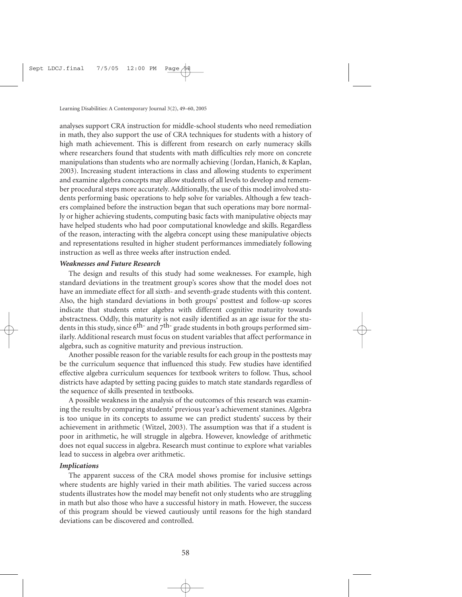analyses support CRA instruction for middle-school students who need remediation in math, they also support the use of CRA techniques for students with a history of high math achievement. This is different from research on early numeracy skills where researchers found that students with math difficulties rely more on concrete manipulations than students who are normally achieving (Jordan, Hanich, & Kaplan, 2003). Increasing student interactions in class and allowing students to experiment and examine algebra concepts may allow students of all levels to develop and remember procedural steps more accurately. Additionally, the use of this model involved students performing basic operations to help solve for variables. Although a few teachers complained before the instruction began that such operations may bore normally or higher achieving students, computing basic facts with manipulative objects may have helped students who had poor computational knowledge and skills. Regardless of the reason, interacting with the algebra concept using these manipulative objects and representations resulted in higher student performances immediately following instruction as well as three weeks after instruction ended.

#### *Weaknesses and Future Research*

The design and results of this study had some weaknesses. For example, high standard deviations in the treatment group's scores show that the model does not have an immediate effect for all sixth- and seventh-grade students with this content. Also, the high standard deviations in both groups' posttest and follow-up scores indicate that students enter algebra with different cognitive maturity towards abstractness. Oddly, this maturity is not easily identified as an age issue for the students in this study, since  $6<sup>th-</sup>$  and  $7<sup>th-</sup>$  grade students in both groups performed similarly. Additional research must focus on student variables that affect performance in algebra, such as cognitive maturity and previous instruction.

Another possible reason for the variable results for each group in the posttests may be the curriculum sequence that influenced this study. Few studies have identified effective algebra curriculum sequences for textbook writers to follow. Thus, school districts have adapted by setting pacing guides to match state standards regardless of the sequence of skills presented in textbooks.

A possible weakness in the analysis of the outcomes of this research was examining the results by comparing students' previous year's achievement stanines. Algebra is too unique in its concepts to assume we can predict students' success by their achievement in arithmetic (Witzel, 2003). The assumption was that if a student is poor in arithmetic, he will struggle in algebra. However, knowledge of arithmetic does not equal success in algebra. Research must continue to explore what variables lead to success in algebra over arithmetic.

#### *Implications*

The apparent success of the CRA model shows promise for inclusive settings where students are highly varied in their math abilities. The varied success across students illustrates how the model may benefit not only students who are struggling in math but also those who have a successful history in math. However, the success of this program should be viewed cautiously until reasons for the high standard deviations can be discovered and controlled.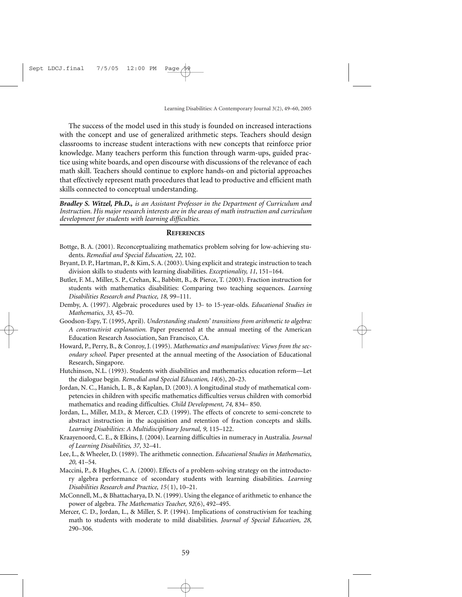The success of the model used in this study is founded on increased interactions with the concept and use of generalized arithmetic steps. Teachers should design classrooms to increase student interactions with new concepts that reinforce prior knowledge. Many teachers perform this function through warm-ups, guided practice using white boards, and open discourse with discussions of the relevance of each math skill. Teachers should continue to explore hands-on and pictorial approaches that effectively represent math procedures that lead to productive and efficient math skills connected to conceptual understanding.

*Bradley S. Witzel, Ph.D., is an Assistant Professor in the Department of Curriculum and Instruction. His major research interests are in the areas of math instruction and curriculum development for students with learning difficulties.*

#### **REFERENCES**

- Bottge, B. A. (2001). Reconceptualizing mathematics problem solving for low-achieving students. *Remedial and Special Education, 22,* 102.
- Bryant, D. P., Hartman, P., & Kim, S. A. (2003). Using explicit and strategic instruction to teach division skills to students with learning disabilities. *Exceptionality, 11,* 151–164.
- Butler, F. M., Miller, S. P., Crehan, K., Babbitt, B., & Pierce, T. (2003). Fraction instruction for students with mathematics disabilities: Comparing two teaching sequences. *Learning Disabilities Research and Practice, 18,* 99–111.
- Demby, A. (1997). Algebraic procedures used by 13- to 15-year-olds. *Educational Studies in Mathematics, 33,* 45–70.
- Goodson-Espy, T. (1995, April). *Understanding students' transitions from arithmetic to algebra: A constructivist explanation.* Paper presented at the annual meeting of the American Education Research Association, San Francisco, CA.
- Howard, P., Perry, B., & Conroy, J. (1995). *Mathematics and manipulatives: Views from the secondary school.* Paper presented at the annual meeting of the Association of Educational Research, Singapore.
- Hutchinson, N.L. (1993). Students with disabilities and mathematics education reform—Let the dialogue begin. *Remedial and Special Education, 14*(6), 20–23.
- Jordan, N. C., Hanich, L. B., & Kaplan, D. (2003). A longitudinal study of mathematical competencies in children with specific mathematics difficulties versus children with comorbid mathematics and reading difficulties. *Child Development, 74,* 834– 850.
- Jordan, L., Miller, M.D., & Mercer, C.D. (1999). The effects of concrete to semi-concrete to abstract instruction in the acquisition and retention of fraction concepts and skills. *Learning Disabilities: A Multidisciplinary Journal, 9,* 115–122.
- Kraayenoord, C. E., & Elkins, J. (2004). Learning difficulties in numeracy in Australia. *Journal of Learning Disabilities, 37,* 32–41.
- Lee, L., & Wheeler, D. (1989). The arithmetic connection. *Educational Studies in Mathematics, 20,* 41–54.
- Maccini, P., & Hughes, C. A. (2000). Effects of a problem-solving strategy on the introductory algebra performance of secondary students with learning disabilities. *Learning Disabilities Research and Practice, 15*(1), 10–21.
- McConnell, M., & Bhattacharya, D. N. (1999). Using the elegance of arithmetic to enhance the power of algebra. *The Mathematics Teacher, 92*(6), 492–495.
- Mercer, C. D., Jordan, L., & Miller, S. P. (1994). Implications of constructivism for teaching math to students with moderate to mild disabilities. *Journal of Special Education, 28,* 290–306.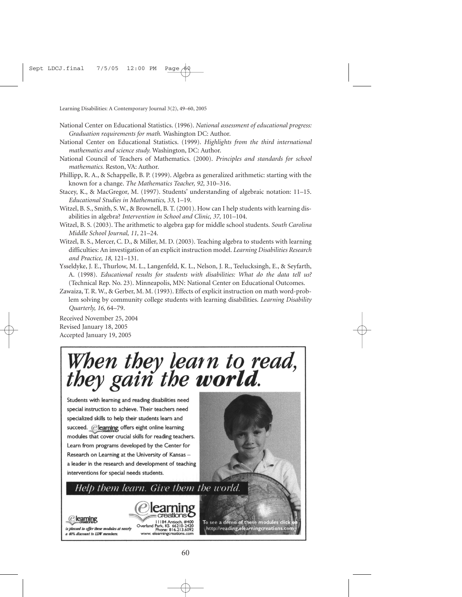- National Center on Educational Statistics. (1996). *National assessment of educational progress: Graduation requirements for math.* Washington DC: Author.
- National Center on Educational Statistics. (1999). *Highlights from the third international mathematics and science study.* Washington, DC: Author.
- National Council of Teachers of Mathematics. (2000). *Principles and standards for school mathematics.* Reston, VA: Author.
- Phillipp, R. A., & Schappelle, B. P. (1999). Algebra as generalized arithmetic: starting with the known for a change. *The Mathematics Teacher, 92,* 310–316.
- Stacey, K., & MacGregor, M. (1997). Students' understanding of algebraic notation: 11–15. *Educational Studies in Mathematics, 33,* 1–19.
- Witzel, B. S., Smith, S. W., & Brownell, B. T. (2001). How can I help students with learning disabilities in algebra? *Intervention in School and Clinic, 37,* 101–104.
- Witzel, B. S. (2003). The arithmetic to algebra gap for middle school students. *South Carolina Middle School Journal, 11,* 21–24.
- Witzel, B. S., Mercer, C. D., & Miller, M. D. (2003). Teaching algebra to students with learning difficulties: An investigation of an explicit instruction model. *Learning Disabilities Research and Practice, 18,* 121–131.
- Ysseldyke, J. E., Thurlow, M. L., Langenfeld, K. L., Nelson, J. R., Teelucksingh, E., & Seyfarth, A. (1998). *Educational results for students with disabilities: What do the data tell us?* (Technical Rep. No. 23). Minneapolis, MN: National Center on Educational Outcomes.
- Zawaiza, T. R. W., & Gerber, M. M. (1993). Effects of explicit instruction on math word-problem solving by community college students with learning disabilities. *Learning Disability Quarterly, 16,* 64–79.

Received November 25, 2004 Revised January 18, 2005 Accepted January 19, 2005

# When they learn to read,<br>they gain the **world**.

Students with learning and reading disabilities need special instruction to achieve. Their teachers need specialized skills to help their students learn and succeed. @learning offers eight online learning modules that cover crucial skills for reading teachers. Learn from programs developed by the Center for Research on Learning at the University of Kansas a leader in the research and development of teaching interventions for special needs students.



## Help them learn. Give them the world.



www.elearningcreations.co

To see a demo of these modules cli http://reading.elearningcreations.co

### learning

is pleased to offer these modules at nearly a 40% discount to LDW members.